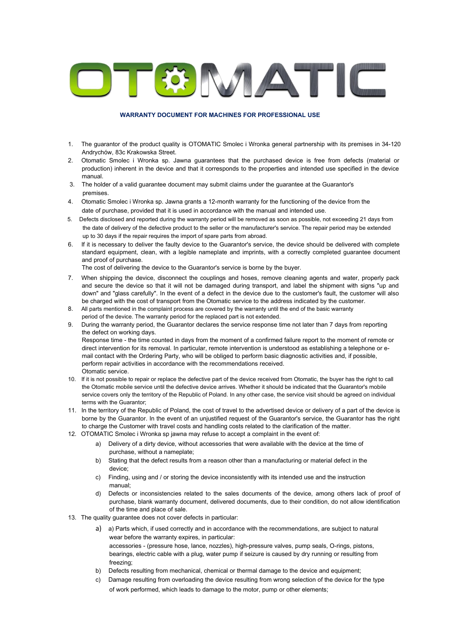

## **WARRANTY DOCUMENT FOR MACHINES FOR PROFESSIONAL USE**

- 1. The guarantor of the product quality is OTOMATIC Smolec i Wronka general partnership with its premises in 34-120 Andrychów, 83c Krakowska Street.
- 2. Otomatic Smolec i Wronka sp. Jawna guarantees that the purchased device is free from defects (material or production) inherent in the device and that it corresponds to the properties and intended use specified in the device manual.
- 3. The holder of a valid guarantee document may submit claims under the guarantee at the Guarantor's premises.
- 4. Otomatic Smolec i Wronka sp. Jawna grants a 12-month warranty for the functioning of the device from the date of purchase, provided that it is used in accordance with the manual and intended use.
- 5. Defects disclosed and reported during the warranty period will be removed as soon as possible, not exceeding 21 days from the date of delivery of the defective product to the seller or the manufacturer's service. The repair period may be extended up to 30 days if the repair requires the import of spare parts from abroad.
- 6. If it is necessary to deliver the faulty device to the Guarantor's service, the device should be delivered with complete standard equipment, clean, with a legible nameplate and imprints, with a correctly completed guarantee document and proof of purchase.

The cost of delivering the device to the Guarantor's service is borne by the buyer.

- 7. When shipping the device, disconnect the couplings and hoses, remove cleaning agents and water, properly pack and secure the device so that it will not be damaged during transport, and label the shipment with signs "up and down" and "glass carefully". In the event of a defect in the device due to the customer's fault, the customer will also be charged with the cost of transport from the Otomatic service to the address indicated by the customer.
- 8. All parts mentioned in the complaint process are covered by the warranty until the end of the basic warranty period of the device. The warranty period for the replaced part is not extended.
- 9. During the warranty period, the Guarantor declares the service response time not later than 7 days from reporting the defect on working days. Response time - the time counted in days from the moment of a confirmed failure report to the moment of remote or direct intervention for its removal. In particular, remote intervention is understood as establishing a telephone or email contact with the Ordering Party, who will be obliged to perform basic diagnostic activities and, if possible, perform repair activities in accordance with the recommendations received. Otomatic service.
- 10. If it is not possible to repair or replace the defective part of the device received from Otomatic, the buyer has the right to call the Otomatic mobile service until the defective device arrives. Whether it should be indicated that the Guarantor's mobile service covers only the territory of the Republic of Poland. In any other case, the service visit should be agreed on individual terms with the Guarantor;
- 11. In the territory of the Republic of Poland, the cost of travel to the advertised device or delivery of a part of the device is borne by the Guarantor. In the event of an unjustified request of the Guarantor's service, the Guarantor has the right to charge the Customer with travel costs and handling costs related to the clarification of the matter.
- 12. OTOMATIC Smolec i Wronka sp jawna may refuse to accept a complaint in the event of:
	- a) Delivery of a dirty device, without accessories that were available with the device at the time of purchase, without a nameplate;
	- b) Stating that the defect results from a reason other than a manufacturing or material defect in the device;
	- c) Finding, using and / or storing the device inconsistently with its intended use and the instruction manual;
	- d) Defects or inconsistencies related to the sales documents of the device, among others lack of proof of purchase, blank warranty document, delivered documents, due to their condition, do not allow identification of the time and place of sale.
- 13. The quality guarantee does not cover defects in particular:
	- a) a) Parts which, if used correctly and in accordance with the recommendations, are subject to natural wear before the warranty expires, in particular: accessories - (pressure hose, lance, nozzles), high-pressure valves, pump seals, O-rings, pistons, bearings, electric cable with a plug, water pump if seizure is caused by dry running or resulting from freezing;
	- b) Defects resulting from mechanical, chemical or thermal damage to the device and equipment;
	- c) Damage resulting from overloading the device resulting from wrong selection of the device for the type of work performed, which leads to damage to the motor, pump or other elements;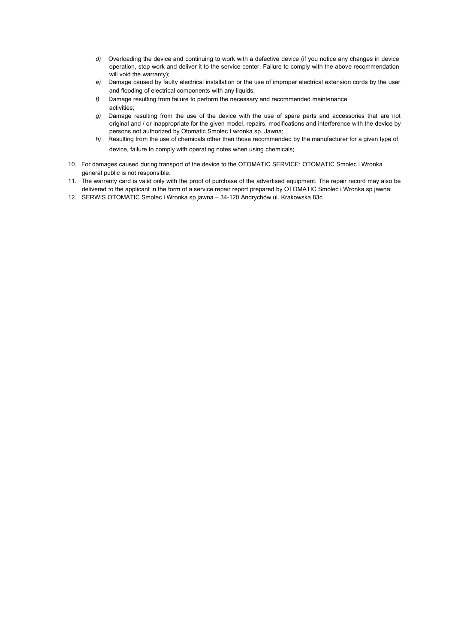- *d)* Overloading the device and continuing to work with a defective device (if you notice any changes in device operation, stop work and deliver it to the service center. Failure to comply with the above recommendation will void the warranty);
- *e)* Damage caused by faulty electrical installation or the use of improper electrical extension cords by the user and flooding of electrical components with any liquids;
- *f)* Damage resulting from failure to perform the necessary and recommended maintenance activities;
- *g)* Damage resulting from the use of the device with the use of spare parts and accessories that are not original and / or inappropriate for the given model, repairs, modifications and interference with the device by persons not authorized by Otomatic Smolec I wronka sp. Jawna;
- *h)* Resulting from the use of chemicals other than those recommended by the manufacturer for a given type of device, failure to comply with operating notes when using chemicals;
- 10. For damages caused during transport of the device to the OTOMATIC SERVICE; OTOMATIC Smolec i Wronka general public is not responsible.
- 11. The warranty card is valid only with the proof of purchase of the advertised equipment. The repair record may also be delivered to the applicant in the form of a service repair report prepared by OTOMATIC Smolec i Wronka sp jawna;
- 12. SERWIS OTOMATIC Smolec i Wronka sp jawna 34-120 Andrychów,ul. Krakowska 83c